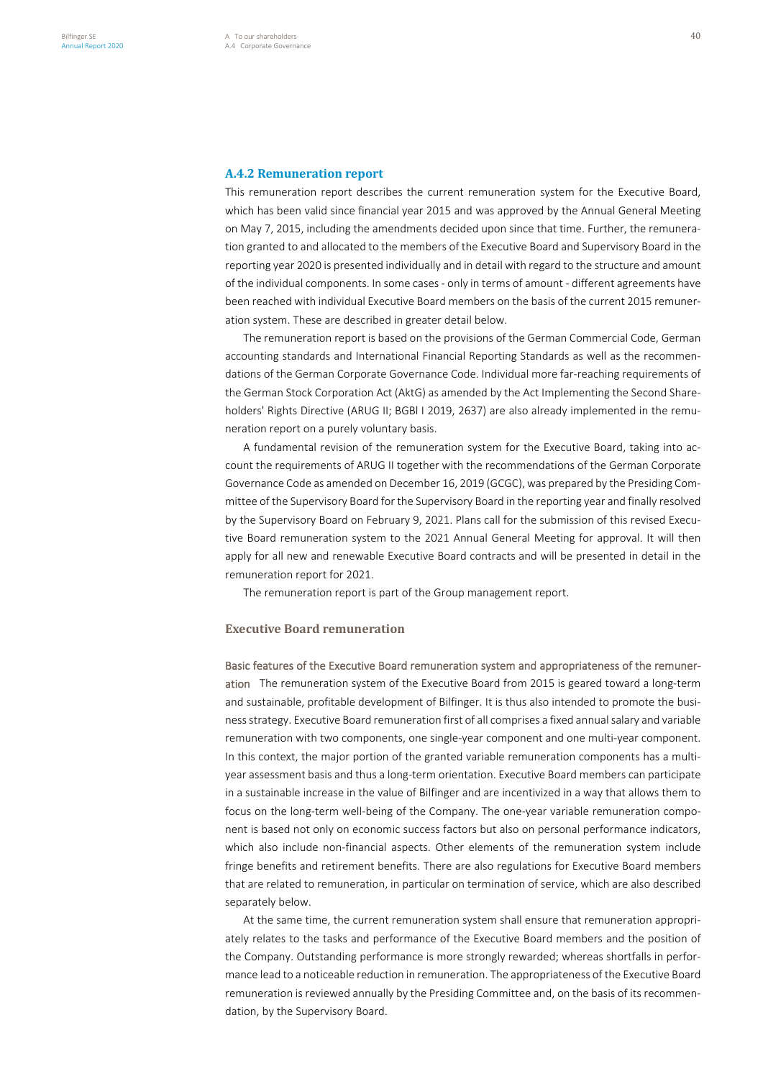This remuneration report describes the current remuneration system for the Executive Board, which has been valid since financial year 2015 and was approved by the Annual General Meeting on May 7, 2015, including the amendments decided upon since that time. Further, the remuneration granted to and allocated to the members of the Executive Board and Supervisory Board in the reporting year 2020 is presented individually and in detail with regard to the structure and amount of the individual components. In some cases - only in terms of amount - different agreements have been reached with individual Executive Board members on the basis of the current 2015 remuneration system. These are described in greater detail below.

The remuneration report is based on the provisions of the German Commercial Code, German accounting standards and International Financial Reporting Standards as well as the recommendations of the German Corporate Governance Code. Individual more far-reaching requirements of the German Stock Corporation Act (AktG) as amended by the Act Implementing the Second Shareholders' Rights Directive (ARUG II; BGBl I 2019, 2637) are also already implemented in the remuneration report on a purely voluntary basis.

A fundamental revision of the remuneration system for the Executive Board, taking into account the requirements of ARUG II together with the recommendations of the German Corporate Governance Code as amended on December 16, 2019 (GCGC), was prepared by the Presiding Committee of the Supervisory Board for the Supervisory Board in the reporting year and finally resolved by the Supervisory Board on February 9, 2021. Plans call for the submission of this revised Executive Board remuneration system to the 2021 Annual General Meeting for approval. It will then apply for all new and renewable Executive Board contracts and will be presented in detail in the remuneration report for 2021.

The remuneration report is part of the Group management report.

#### **Executive Board remuneration**

Basic features of the Executive Board remuneration system and appropriateness of the remuneration The remuneration system of the Executive Board from 2015 is geared toward a long-term and sustainable, profitable development of Bilfinger. It is thus also intended to promote the business strategy. Executive Board remuneration first of all comprises a fixed annual salary and variable remuneration with two components, one single-year component and one multi-year component. In this context, the major portion of the granted variable remuneration components has a multiyear assessment basis and thus a long-term orientation. Executive Board members can participate in a sustainable increase in the value of Bilfinger and are incentivized in a way that allows them to focus on the long-term well-being of the Company. The one-year variable remuneration component is based not only on economic success factors but also on personal performance indicators, which also include non-financial aspects. Other elements of the remuneration system include fringe benefits and retirement benefits. There are also regulations for Executive Board members that are related to remuneration, in particular on termination of service, which are also described separately below.

At the same time, the current remuneration system shall ensure that remuneration appropriately relates to the tasks and performance of the Executive Board members and the position of the Company. Outstanding performance is more strongly rewarded; whereas shortfalls in performance lead to a noticeable reduction in remuneration. The appropriateness of the Executive Board remuneration is reviewed annually by the Presiding Committee and, on the basis of its recommendation, by the Supervisory Board.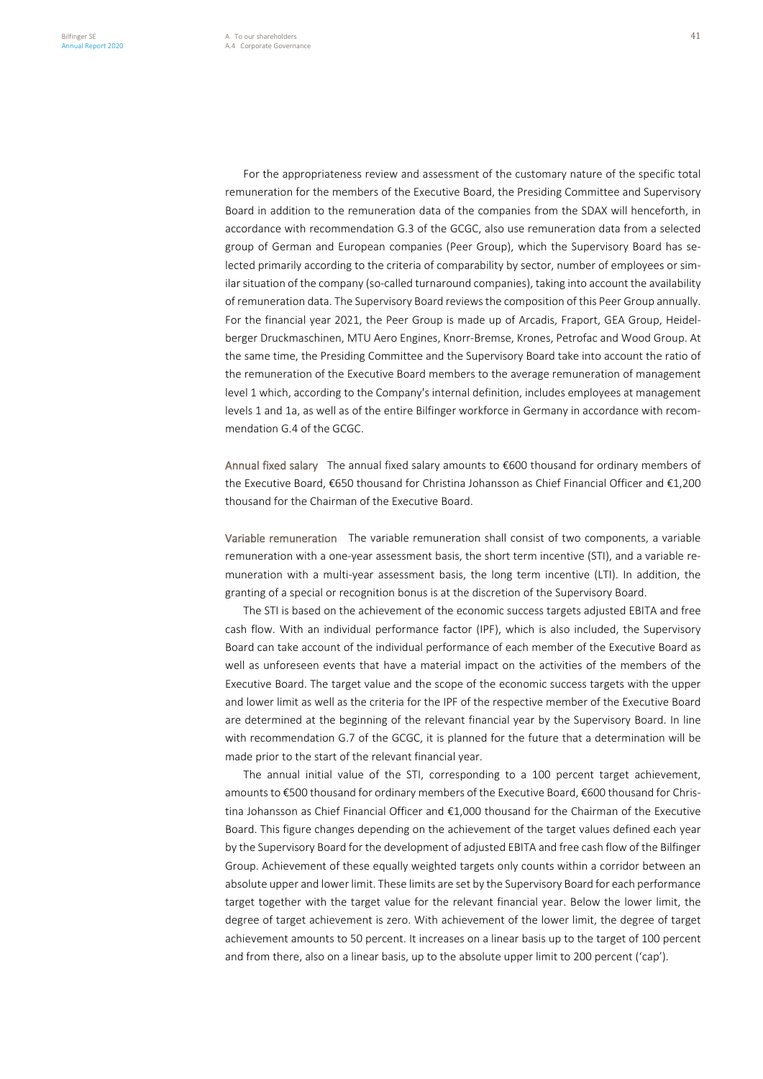For the appropriateness review and assessment of the customary nature of the specific total remuneration for the members of the Executive Board, the Presiding Committee and Supervisory Board in addition to the remuneration data of the companies from the SDAX will henceforth, in accordance with recommendation G.3 of the GCGC, also use remuneration data from a selected group of German and European companies (Peer Group), which the Supervisory Board has selected primarily according to the criteria of comparability by sector, number of employees or similar situation of the company (so-called turnaround companies), taking into account the availability of remuneration data. The Supervisory Board reviews the composition of this Peer Group annually. For the financial year 2021, the Peer Group is made up of Arcadis, Fraport, GEA Group, Heidelberger Druckmaschinen, MTU Aero Engines, Knorr-Bremse, Krones, Petrofac and Wood Group. At the same time, the Presiding Committee and the Supervisory Board take into account the ratio of the remuneration of the Executive Board members to the average remuneration of management level 1 which, according to the Company's internal definition, includes employees at management levels 1 and 1a, as well as of the entire Bilfinger workforce in Germany in accordance with recommendation G.4 of the GCGC.

Annual fixed salary The annual fixed salary amounts to €600 thousand for ordinary members of the Executive Board, €650 thousand for Christina Johansson as Chief Financial Officer and €1,200 thousand for the Chairman of the Executive Board.

Variable remuneration The variable remuneration shall consist of two components, a variable remuneration with a one-year assessment basis, the short term incentive (STI), and a variable remuneration with a multi-year assessment basis, the long term incentive (LTI). In addition, the granting of a special or recognition bonus is at the discretion of the Supervisory Board.

The STI is based on the achievement of the economic success targets adjusted EBITA and free cash flow. With an individual performance factor (IPF), which is also included, the Supervisory Board can take account of the individual performance of each member of the Executive Board as well as unforeseen events that have a material impact on the activities of the members of the Executive Board. The target value and the scope of the economic success targets with the upper and lower limit as well as the criteria for the IPF of the respective member of the Executive Board are determined at the beginning of the relevant financial year by the Supervisory Board. In line with recommendation G.7 of the GCGC, it is planned for the future that a determination will be made prior to the start of the relevant financial year.

The annual initial value of the STI, corresponding to a 100 percent target achievement, amounts to €500 thousand for ordinary members of the Executive Board, €600 thousand for Christina Johansson as Chief Financial Officer and €1,000 thousand for the Chairman of the Executive Board. This figure changes depending on the achievement of the target values defined each year by the Supervisory Board for the development of adjusted EBITA and free cash flow of the Bilfinger Group. Achievement of these equally weighted targets only counts within a corridor between an absolute upper and lower limit. These limits are set by the Supervisory Board for each performance target together with the target value for the relevant financial year. Below the lower limit, the degree of target achievement is zero. With achievement of the lower limit, the degree of target achievement amounts to 50 percent. It increases on a linear basis up to the target of 100 percent and from there, also on a linear basis, up to the absolute upper limit to 200 percent ('cap').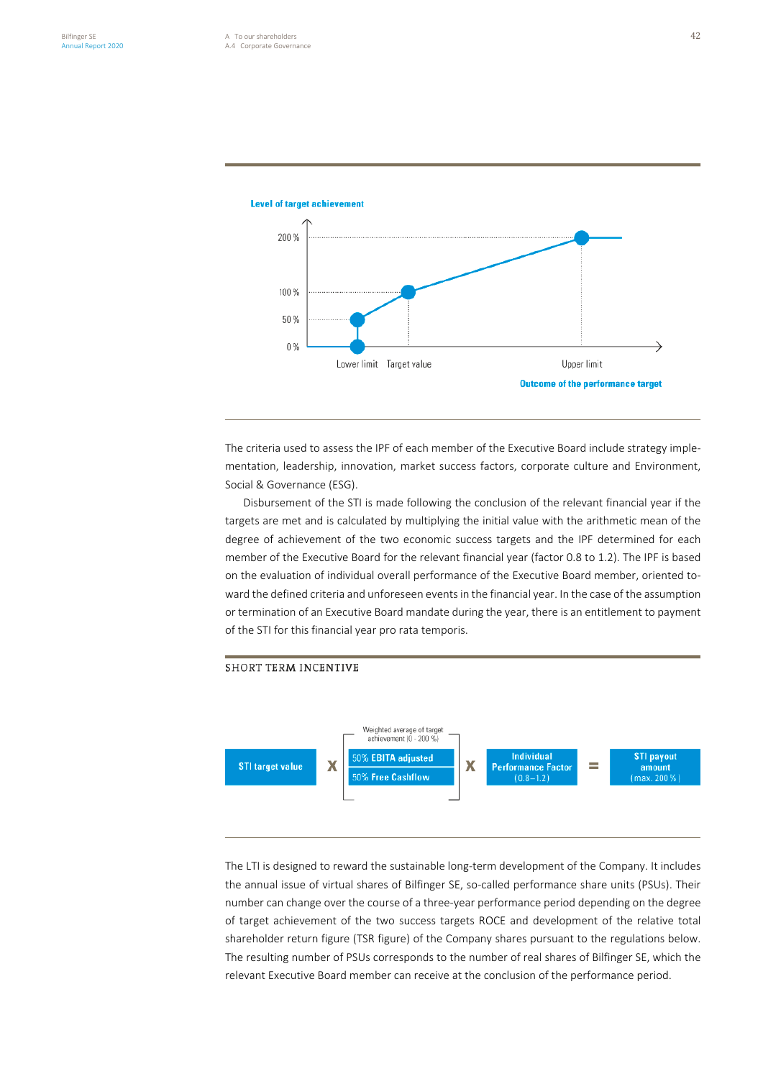

**Level of target achievement** 

The criteria used to assess the IPF of each member of the Executive Board include strategy implementation, leadership, innovation, market success factors, corporate culture and Environment, Social & Governance (ESG).

Disbursement of the STI is made following the conclusion of the relevant financial year if the targets are met and is calculated by multiplying the initial value with the arithmetic mean of the degree of achievement of the two economic success targets and the IPF determined for each member of the Executive Board for the relevant financial year (factor 0.8 to 1.2). The IPF is based on the evaluation of individual overall performance of the Executive Board member, oriented toward the defined criteria and unforeseen events in the financial year. In the case of the assumption or termination of an Executive Board mandate during the year, there is an entitlement to payment of the STI for this financial year pro rata temporis.

#### **SHORT TERM INCENTIVE**



The LTI is designed to reward the sustainable long-term development of the Company. It includes the annual issue of virtual shares of Bilfinger SE, so-called performance share units (PSUs). Their number can change over the course of a three-year performance period depending on the degree of target achievement of the two success targets ROCE and development of the relative total shareholder return figure (TSR figure) of the Company shares pursuant to the regulations below. The resulting number of PSUs corresponds to the number of real shares of Bilfinger SE, which the relevant Executive Board member can receive at the conclusion of the performance period.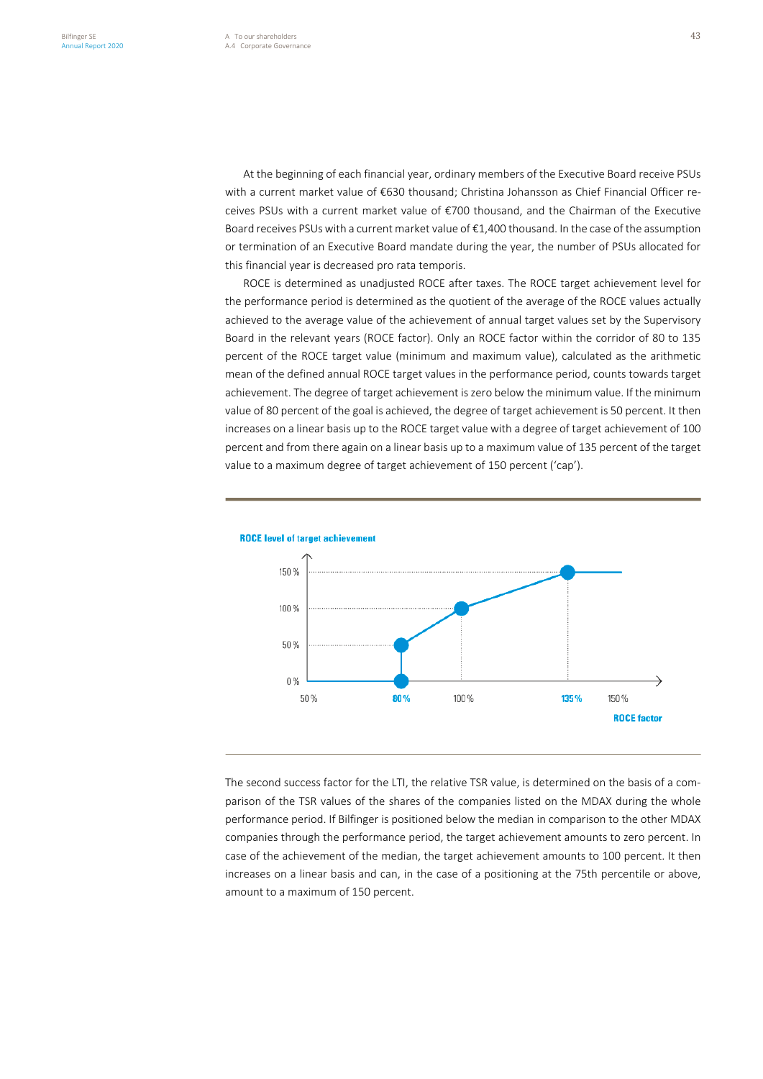At the beginning of each financial year, ordinary members of the Executive Board receive PSUs with a current market value of €630 thousand; Christina Johansson as Chief Financial Officer receives PSUs with a current market value of €700 thousand, and the Chairman of the Executive Board receives PSUs with a current market value of €1,400 thousand. In the case of the assumption or termination of an Executive Board mandate during the year, the number of PSUs allocated for this financial year is decreased pro rata temporis.

ROCE is determined as unadjusted ROCE after taxes. The ROCE target achievement level for the performance period is determined as the quotient of the average of the ROCE values actually achieved to the average value of the achievement of annual target values set by the Supervisory Board in the relevant years (ROCE factor). Only an ROCE factor within the corridor of 80 to 135 percent of the ROCE target value (minimum and maximum value), calculated as the arithmetic mean of the defined annual ROCE target values in the performance period, counts towards target achievement. The degree of target achievement is zero below the minimum value. If the minimum value of 80 percent of the goal is achieved, the degree of target achievement is 50 percent. It then increases on a linear basis up to the ROCE target value with a degree of target achievement of 100 percent and from there again on a linear basis up to a maximum value of 135 percent of the target value to a maximum degree of target achievement of 150 percent ('cap').



The second success factor for the LTI, the relative TSR value, is determined on the basis of a comparison of the TSR values of the shares of the companies listed on the MDAX during the whole performance period. If Bilfinger is positioned below the median in comparison to the other MDAX companies through the performance period, the target achievement amounts to zero percent. In case of the achievement of the median, the target achievement amounts to 100 percent. It then increases on a linear basis and can, in the case of a positioning at the 75th percentile or above, amount to a maximum of 150 percent.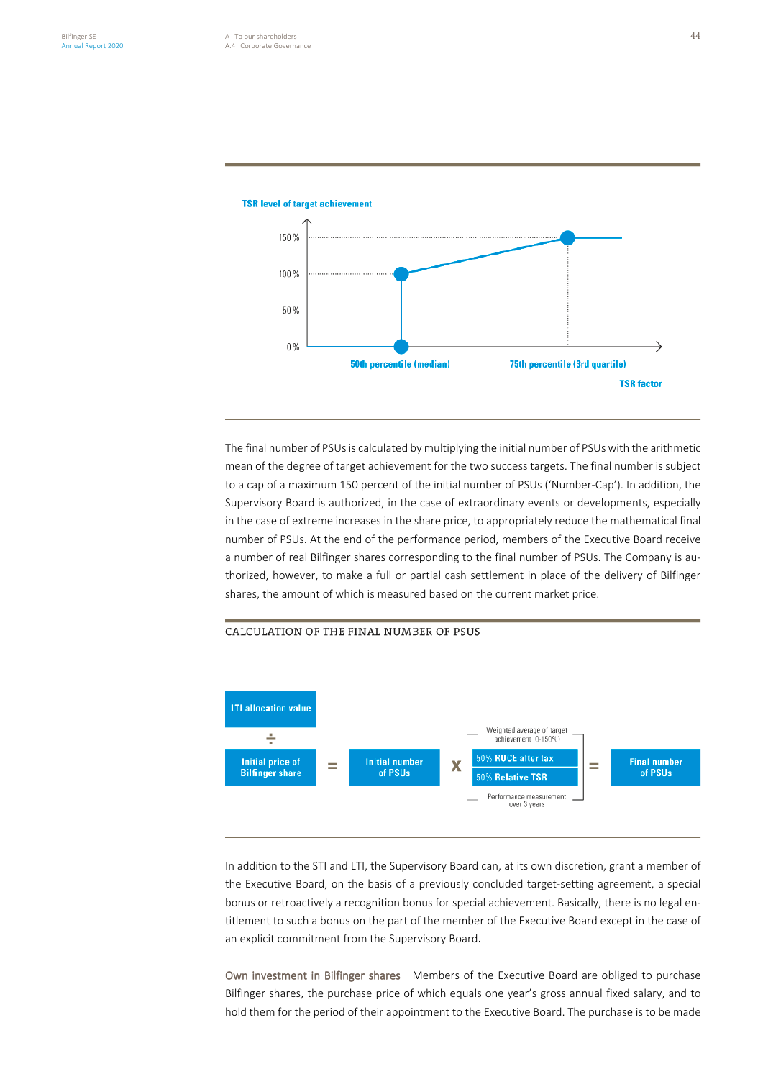

**TSR level of target achievement** 

The final number of PSUs is calculated by multiplying the initial number of PSUs with the arithmetic mean of the degree of target achievement for the two success targets. The final number is subject to a cap of a maximum 150 percent of the initial number of PSUs ('Number-Cap'). In addition, the Supervisory Board is authorized, in the case of extraordinary events or developments, especially in the case of extreme increases in the share price, to appropriately reduce the mathematical final number of PSUs. At the end of the performance period, members of the Executive Board receive a number of real Bilfinger shares corresponding to the final number of PSUs. The Company is authorized, however, to make a full or partial cash settlement in place of the delivery of Bilfinger shares, the amount of which is measured based on the current market price.

# CALCULATION OF THE FINAL NUMBER OF PSUS



In addition to the STI and LTI, the Supervisory Board can, at its own discretion, grant a member of the Executive Board, on the basis of a previously concluded target-setting agreement, a special bonus or retroactively a recognition bonus for special achievement. Basically, there is no legal entitlement to such a bonus on the part of the member of the Executive Board except in the case of an explicit commitment from the Supervisory Board.

Own investment in Bilfinger shares Members of the Executive Board are obliged to purchase Bilfinger shares, the purchase price of which equals one year's gross annual fixed salary, and to hold them for the period of their appointment to the Executive Board. The purchase is to be made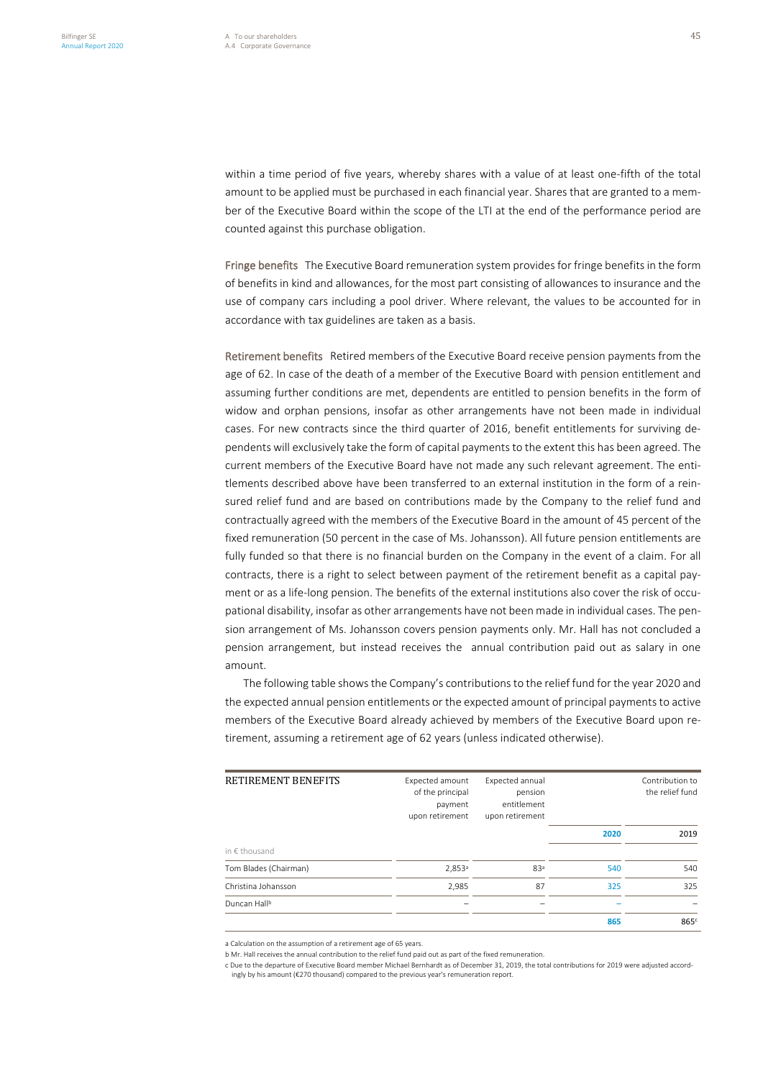within a time period of five years, whereby shares with a value of at least one-fifth of the total amount to be applied must be purchased in each financial year. Shares that are granted to a member of the Executive Board within the scope of the LTI at the end of the performance period are counted against this purchase obligation.

Fringe benefits The Executive Board remuneration system provides for fringe benefits in the form of benefits in kind and allowances, for the most part consisting of allowances to insurance and the use of company cars including a pool driver. Where relevant, the values to be accounted for in accordance with tax guidelines are taken as a basis.

Retirement benefits Retired members of the Executive Board receive pension payments from the age of 62. In case of the death of a member of the Executive Board with pension entitlement and assuming further conditions are met, dependents are entitled to pension benefits in the form of widow and orphan pensions, insofar as other arrangements have not been made in individual cases. For new contracts since the third quarter of 2016, benefit entitlements for surviving dependents will exclusively take the form of capital payments to the extent this has been agreed. The current members of the Executive Board have not made any such relevant agreement. The entitlements described above have been transferred to an external institution in the form of a reinsured relief fund and are based on contributions made by the Company to the relief fund and contractually agreed with the members of the Executive Board in the amount of 45 percent of the fixed remuneration (50 percent in the case of Ms. Johansson). All future pension entitlements are fully funded so that there is no financial burden on the Company in the event of a claim. For all contracts, there is a right to select between payment of the retirement benefit as a capital payment or as a life-long pension. The benefits of the external institutions also cover the risk of occupational disability, insofar as other arrangements have not been made in individual cases. The pension arrangement of Ms. Johansson covers pension payments only. Mr. Hall has not concluded a pension arrangement, but instead receives the annual contribution paid out as salary in one amount.

The following table shows the Company's contributions to the relief fund for the year 2020 and the expected annual pension entitlements or the expected amount of principal payments to active members of the Executive Board already achieved by members of the Executive Board upon retirement, assuming a retirement age of 62 years (unless indicated otherwise).

| RETIREMENT BENEFITS      | Expected amount<br>of the principal<br>payment<br>upon retirement | Expected annual<br>pension<br>entitlement<br>upon retirement | Contribution to<br>the relief fund |                  |  |
|--------------------------|-------------------------------------------------------------------|--------------------------------------------------------------|------------------------------------|------------------|--|
|                          |                                                                   |                                                              | 2020                               | 2019             |  |
| in $\notin$ thousand     |                                                                   |                                                              |                                    |                  |  |
| Tom Blades (Chairman)    | 2,853 <sup>a</sup>                                                | 83 <sup>a</sup>                                              | 540                                | 540              |  |
| Christina Johansson      | 2,985                                                             | 87                                                           | 325                                | 325              |  |
| Duncan Hall <sup>b</sup> |                                                                   |                                                              |                                    |                  |  |
|                          |                                                                   |                                                              | 865                                | 865 <sup>c</sup> |  |

a Calculation on the assumption of a retirement age of 65 years.

b Mr. Hall receives the annual contribution to the relief fund paid out as part of the fixed remuneration.

c Due to the departure of Executive Board member Michael Bernhardt as of December 31, 2019, the total contributions for 2019 were adjusted accordingly by his amount (€270 thousand) compared to the previous year's remuneration report.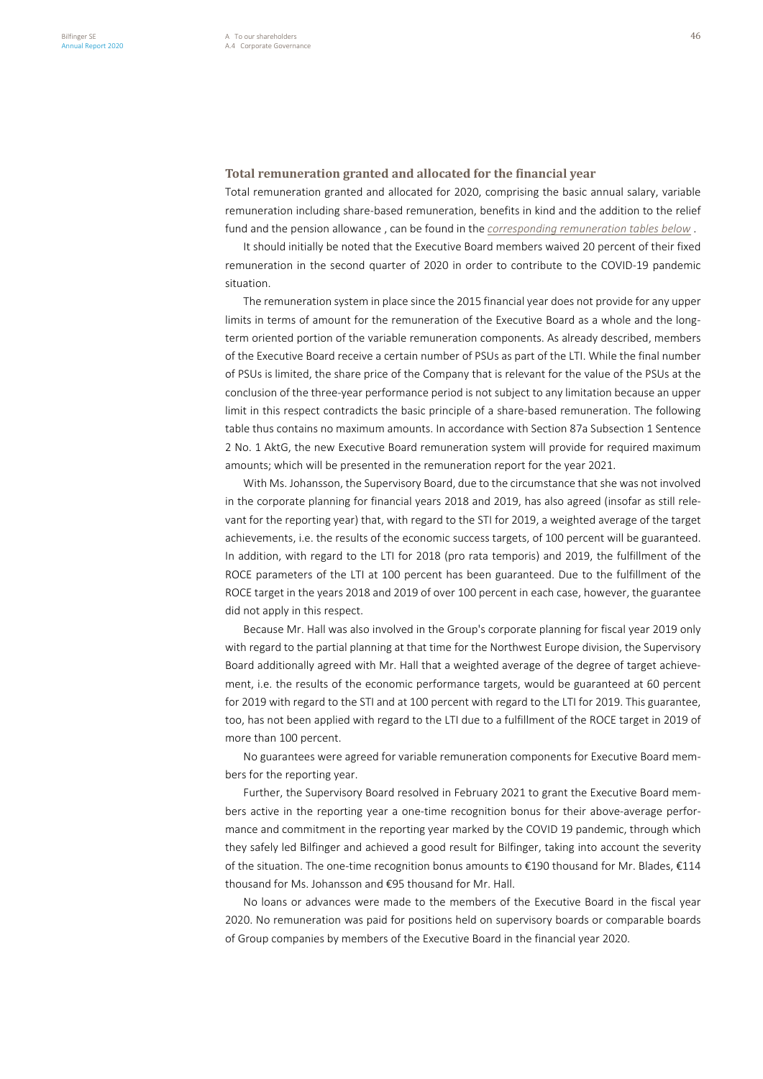# **Total remuneration granted and allocated for the financial year**

Total remuneration granted and allocated for 2020, comprising the basic annual salary, variable remuneration including share-based remuneration, benefits in kind and the addition to the relief fund and the pension allowance , can be found in the *corresponding remuneration tables below* .

It should initially be noted that the Executive Board members waived 20 percent of their fixed remuneration in the second quarter of 2020 in order to contribute to the COVID-19 pandemic situation.

The remuneration system in place since the 2015 financial year does not provide for any upper limits in terms of amount for the remuneration of the Executive Board as a whole and the longterm oriented portion of the variable remuneration components. As already described, members of the Executive Board receive a certain number of PSUs as part of the LTI. While the final number of PSUs is limited, the share price of the Company that is relevant for the value of the PSUs at the conclusion of the three-year performance period is not subject to any limitation because an upper limit in this respect contradicts the basic principle of a share-based remuneration. The following table thus contains no maximum amounts. In accordance with Section 87a Subsection 1 Sentence 2 No. 1 AktG, the new Executive Board remuneration system will provide for required maximum amounts; which will be presented in the remuneration report for the year 2021.

With Ms. Johansson, the Supervisory Board, due to the circumstance that she was not involved in the corporate planning for financial years 2018 and 2019, has also agreed (insofar as still relevant for the reporting year) that, with regard to the STI for 2019, a weighted average of the target achievements, i.e. the results of the economic success targets, of 100 percent will be guaranteed. In addition, with regard to the LTI for 2018 (pro rata temporis) and 2019, the fulfillment of the ROCE parameters of the LTI at 100 percent has been guaranteed. Due to the fulfillment of the ROCE target in the years 2018 and 2019 of over 100 percent in each case, however, the guarantee did not apply in this respect.

Because Mr. Hall was also involved in the Group's corporate planning for fiscal year 2019 only with regard to the partial planning at that time for the Northwest Europe division, the Supervisory Board additionally agreed with Mr. Hall that a weighted average of the degree of target achievement, i.e. the results of the economic performance targets, would be guaranteed at 60 percent for 2019 with regard to the STI and at 100 percent with regard to the LTI for 2019. This guarantee, too, has not been applied with regard to the LTI due to a fulfillment of the ROCE target in 2019 of more than 100 percent.

No guarantees were agreed for variable remuneration components for Executive Board members for the reporting year.

Further, the Supervisory Board resolved in February 2021 to grant the Executive Board members active in the reporting year a one-time recognition bonus for their above-average performance and commitment in the reporting year marked by the COVID 19 pandemic, through which they safely led Bilfinger and achieved a good result for Bilfinger, taking into account the severity of the situation. The one-time recognition bonus amounts to €190 thousand for Mr. Blades, €114 thousand for Ms. Johansson and €95 thousand for Mr. Hall.

No loans or advances were made to the members of the Executive Board in the fiscal year 2020. No remuneration was paid for positions held on supervisory boards or comparable boards of Group companies by members of the Executive Board in the financial year 2020.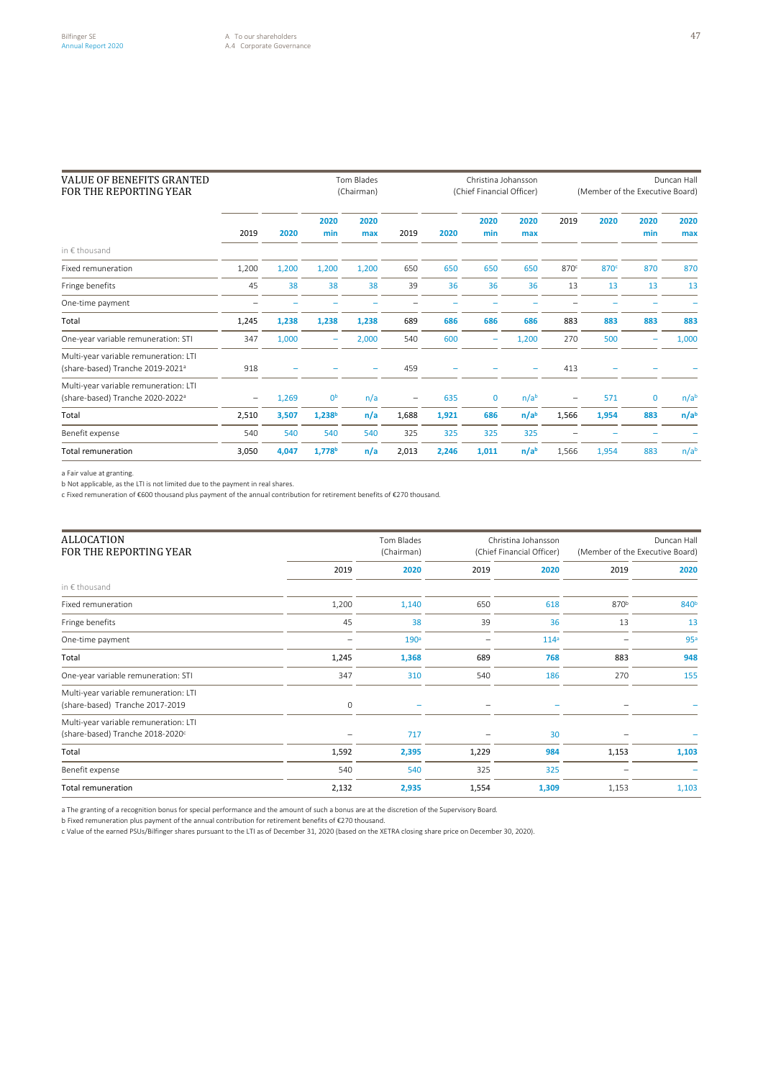| <b>VALUE OF BENEFITS GRANTED</b><br>FOR THE REPORTING YEAR                            |       | Tom Blades<br>(Chairman) |                    |             |                          | Christina Johansson<br>(Chief Financial Officer) |             |                  | Duncan Hall<br>(Member of the Executive Board) |                  |              |                  |
|---------------------------------------------------------------------------------------|-------|--------------------------|--------------------|-------------|--------------------------|--------------------------------------------------|-------------|------------------|------------------------------------------------|------------------|--------------|------------------|
| 2019                                                                                  |       | 2020                     | 2020<br>min        | 2020<br>max | 2019                     | 2020                                             | 2020<br>min | 2020<br>max      | 2019                                           | 2020             | 2020<br>min  | 2020<br>max      |
| in € thousand                                                                         |       |                          |                    |             |                          |                                                  |             |                  |                                                |                  |              |                  |
| Fixed remuneration                                                                    | 1,200 | 1,200                    | 1,200              | 1,200       | 650                      | 650                                              | 650         | 650              | 870 <sup>c</sup>                               | 870 <sup>c</sup> | 870          | 870              |
| Fringe benefits                                                                       | 45    | 38                       | 38                 | 38          | 39                       | 36                                               | 36          | 36               | 13                                             | 13               | 13           | 13               |
| One-time payment                                                                      |       |                          |                    |             |                          |                                                  |             |                  |                                                |                  |              |                  |
| Total                                                                                 | 1,245 | 1,238                    | 1,238              | 1,238       | 689                      | 686                                              | 686         | 686              | 883                                            | 883              | 883          | 883              |
| One-year variable remuneration: STI                                                   | 347   | 1,000                    | -                  | 2,000       | 540                      | 600                                              | -           | 1,200            | 270                                            | 500              |              | 1,000            |
| Multi-year variable remuneration: LTI<br>(share-based) Tranche 2019-2021 <sup>a</sup> | 918   |                          |                    |             | 459                      |                                                  |             |                  | 413                                            |                  |              |                  |
| Multi-year variable remuneration: LTI<br>(share-based) Tranche 2020-2022 <sup>a</sup> |       | 1,269                    | 0 <sub>p</sub>     | n/a         | $\overline{\phantom{0}}$ | 635                                              | 0           | n/a <sup>b</sup> | $\qquad \qquad -$                              | 571              | $\mathbf{0}$ | n/a <sup>b</sup> |
| Total                                                                                 | 2,510 | 3,507                    | 1,238 <sup>b</sup> | n/a         | 1,688                    | 1,921                                            | 686         | n/a <sup>b</sup> | 1,566                                          | 1,954            | 883          | n/a <sup>b</sup> |
| Benefit expense                                                                       | 540   | 540                      | 540                | 540         | 325                      | 325                                              | 325         | 325              |                                                |                  |              |                  |
| <b>Total remuneration</b>                                                             | 3,050 | 4,047                    | 1,778 <sup>b</sup> | n/a         | 2,013                    | 2,246                                            | 1,011       | n/a <sup>b</sup> | 1,566                                          | 1,954            | 883          | n/a <sup>b</sup> |

a Fair value at granting.

b Not applicable, as the LTI is not limited due to the payment in real shares.

c Fixed remuneration of €600 thousand plus payment of the annual contribution for retirement benefits of €270 thousand.

| <b>ALLOCATION</b><br>FOR THE REPORTING YEAR                                           |       | Tom Blades<br>(Chairman) |       | Christina Johansson<br>(Chief Financial Officer) | (Member of the Executive Board) | Duncan Hall      |
|---------------------------------------------------------------------------------------|-------|--------------------------|-------|--------------------------------------------------|---------------------------------|------------------|
|                                                                                       | 2019  | 2020                     | 2019  | 2020                                             | 2019                            | 2020             |
| in € thousand                                                                         |       |                          |       |                                                  |                                 |                  |
| Fixed remuneration                                                                    | 1,200 | 1,140                    | 650   | 618                                              | 870 <sup>b</sup>                | 840 <sup>b</sup> |
| Fringe benefits                                                                       | 45    | 38                       | 39    | 36                                               | 13                              | 13               |
| One-time payment                                                                      |       | 190 <sup>a</sup>         |       | 114 <sup>a</sup>                                 |                                 | 95 <sup>a</sup>  |
| Total                                                                                 | 1,245 | 1,368                    | 689   | 768                                              | 883                             | 948              |
| One-year variable remuneration: STI                                                   | 347   | 310                      | 540   | 186                                              | 270                             | 155              |
| Multi-year variable remuneration: LTI<br>(share-based) Tranche 2017-2019              | 0     |                          |       |                                                  |                                 |                  |
| Multi-year variable remuneration: LTI<br>(share-based) Tranche 2018-2020 <sup>c</sup> |       | 717                      |       | 30                                               |                                 |                  |
| Total                                                                                 | 1,592 | 2,395                    | 1,229 | 984                                              | 1,153                           | 1,103            |
| Benefit expense                                                                       | 540   | 540                      | 325   | 325                                              |                                 |                  |
| <b>Total remuneration</b>                                                             | 2,132 | 2,935                    | 1,554 | 1,309                                            | 1,153                           | 1,103            |

a The granting of a recognition bonus for special performance and the amount of such a bonus are at the discretion of the Supervisory Board.

b Fixed remuneration plus payment of the annual contribution for retirement benefits of €270 thousand.

c Value of the earned PSUs/Bilfinger shares pursuant to the LTI as of December 31, 2020 (based on the XETRA closing share price on December 30, 2020).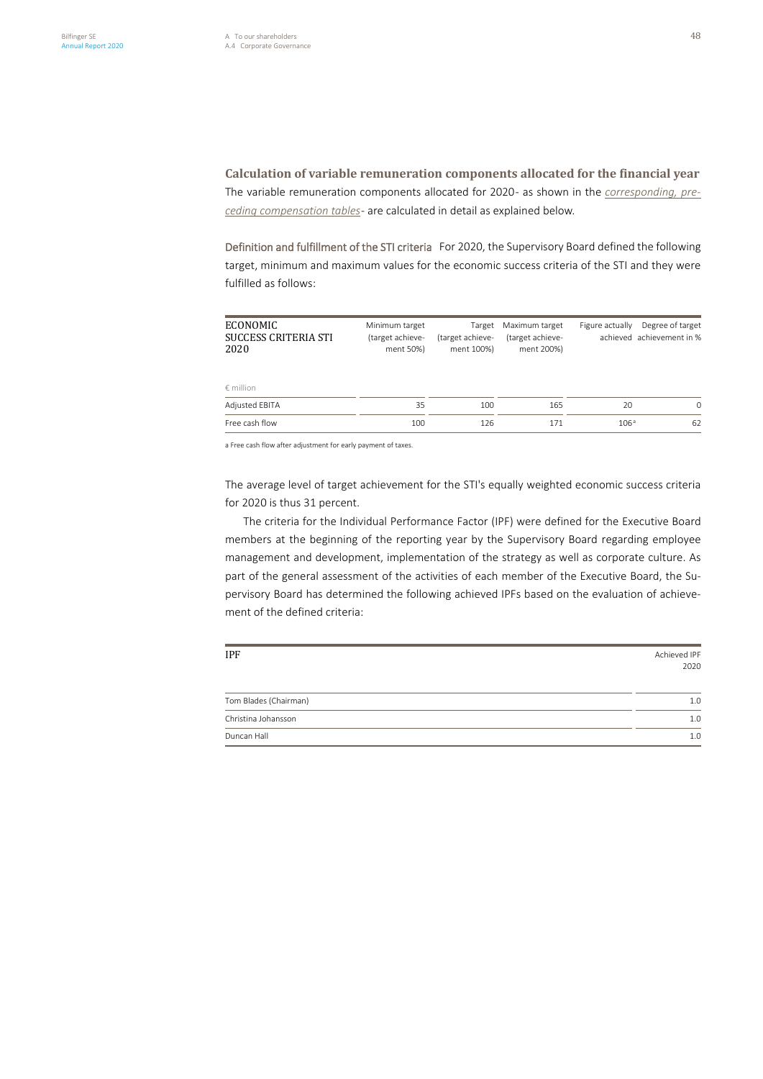**Calculation of variable remuneration components allocated for the financial year** The variable remuneration components allocated for 2020 - as shown in the *corresponding, preceding compensation tables*- are calculated in detail as explained below.

Definition and fulfillment of the STI criteria For 2020, the Supervisory Board defined the following target, minimum and maximum values for the economic success criteria of the STI and they were fulfilled as follows:

| ECONOMIC<br><b>SUCCESS CRITERIA STI</b><br>2020 | Minimum target<br>(target achieve-<br>ment 50%) | Target<br>(target achieve-<br>ment 100%) | Maximum target<br>(target achieve-<br>ment 200%) | Figure actually  | Degree of target<br>achieved achievement in % |
|-------------------------------------------------|-------------------------------------------------|------------------------------------------|--------------------------------------------------|------------------|-----------------------------------------------|
| $\epsilon$ million                              |                                                 |                                          |                                                  |                  |                                               |
| Adjusted EBITA                                  | 35                                              | 100                                      | 165                                              | 20               | $\Omega$                                      |
| Free cash flow                                  | 100                                             | 126                                      | 171                                              | 106 <sup>a</sup> | 62                                            |

a Free cash flow after adjustment for early payment of taxes.

The average level of target achievement for the STI's equally weighted economic success criteria for 2020 is thus 31 percent.

The criteria for the Individual Performance Factor (IPF) were defined for the Executive Board members at the beginning of the reporting year by the Supervisory Board regarding employee management and development, implementation of the strategy as well as corporate culture. As part of the general assessment of the activities of each member of the Executive Board, the Supervisory Board has determined the following achieved IPFs based on the evaluation of achievement of the defined criteria:

| <b>IPF</b>            | Achieved IPF<br>2020 |
|-----------------------|----------------------|
| Tom Blades (Chairman) | 1.0                  |
| Christina Johansson   | 1.0                  |
| Duncan Hall           | 1.0                  |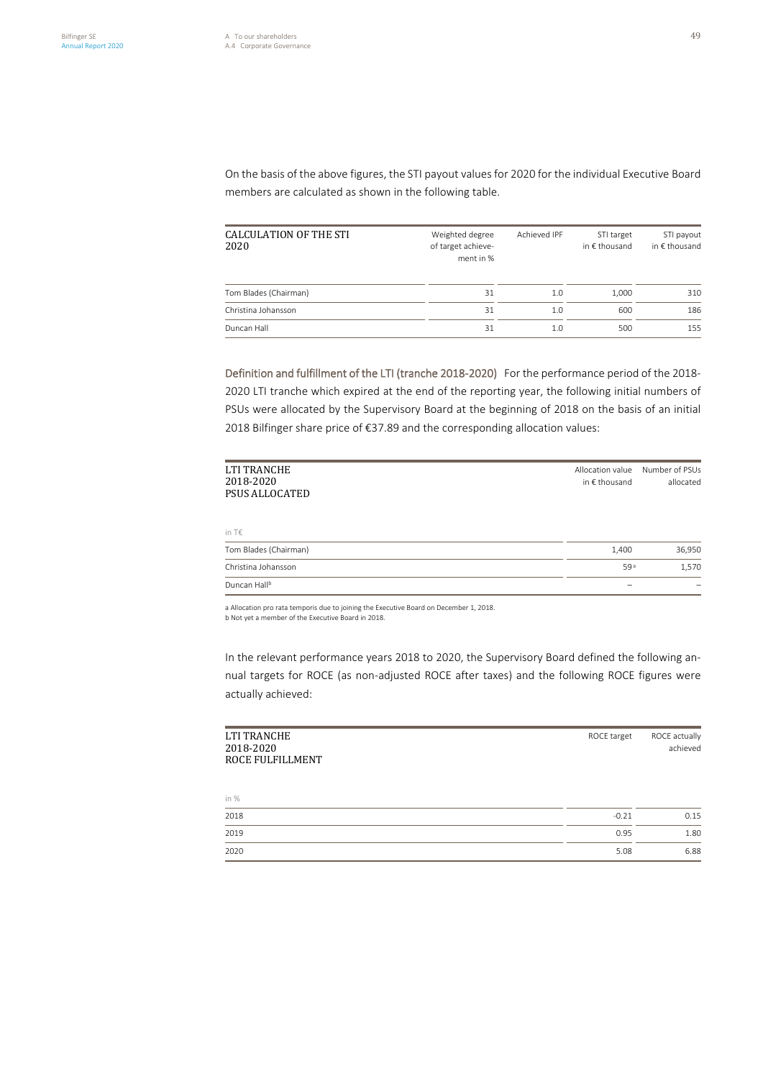On the basis of the above figures, the STI payout values for 2020 for the individual Executive Board members are calculated as shown in the following table.

| CALCULATION OF THE STI<br>2020 | Weighted degree<br>of target achieve-<br>ment in % | Achieved IPF | STI target<br>in $\epsilon$ thousand | STI payout<br>in € thousand |
|--------------------------------|----------------------------------------------------|--------------|--------------------------------------|-----------------------------|
| Tom Blades (Chairman)          | 31                                                 | 1.0          | 1.000                                | 310                         |
| Christina Johansson            | 31                                                 | 1.0          | 600                                  | 186                         |
| Duncan Hall                    | 31                                                 | 1.0          | 500                                  | 155                         |

Definition and fulfillment of the LTI (tranche 2018-2020) For the performance period of the 2018- 2020 LTI tranche which expired at the end of the reporting year, the following initial numbers of PSUs were allocated by the Supervisory Board at the beginning of 2018 on the basis of an initial 2018 Bilfinger share price of €37.89 and the corresponding allocation values:

| LTI TRANCHE<br>2018-2020<br><b>PSUS ALLOCATED</b> | Allocation value<br>in $\epsilon$ thousand | Number of PSUs<br>allocated |
|---------------------------------------------------|--------------------------------------------|-----------------------------|
| in T€                                             |                                            |                             |
| Tom Blades (Chairman)                             | 1,400                                      | 36,950                      |
| Christina Johansson                               | 59 <sup>a</sup>                            | 1,570                       |
| Duncan Hall <sup>b</sup>                          |                                            |                             |

a Allocation pro rata temporis due to joining the Executive Board on December 1, 2018.

b Not yet a member of the Executive Board in 2018.

In the relevant performance years 2018 to 2020, the Supervisory Board defined the following annual targets for ROCE (as non-adjusted ROCE after taxes) and the following ROCE figures were actually achieved:

| LTI TRANCHE<br>2018-2020<br>ROCE FULFILLMENT | ROCE target | ROCE actually<br>achieved |
|----------------------------------------------|-------------|---------------------------|
| in %                                         |             |                           |
| 2018                                         | $-0.21$     | 0.15                      |
| 2019                                         | 0.95        | 1.80                      |
| 2020                                         | 5.08        | 6.88                      |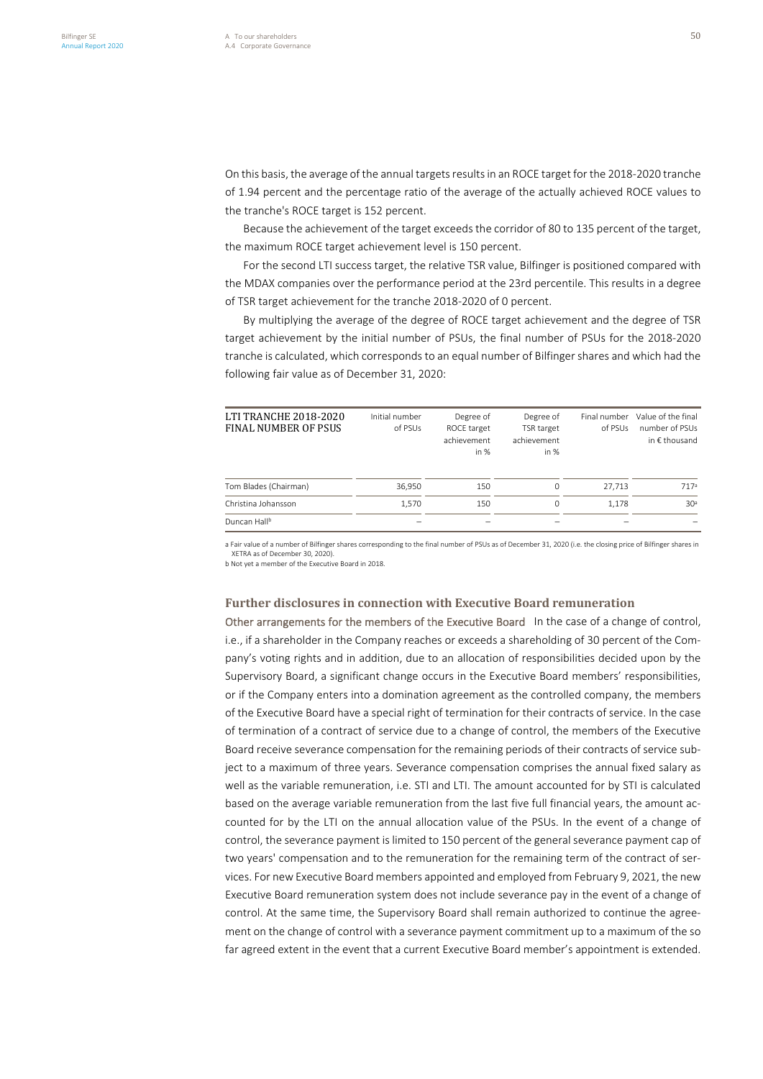the tranche's ROCE target is 152 percent.

On this basis, the average of the annual targets resultsin an ROCE target for the 2018-2020 tranche of 1.94 percent and the percentage ratio of the average of the actually achieved ROCE values to

Because the achievement of the target exceeds the corridor of 80 to 135 percent of the target, the maximum ROCE target achievement level is 150 percent.

For the second LTI success target, the relative TSR value, Bilfinger is positioned compared with the MDAX companies over the performance period at the 23rd percentile. This results in a degree of TSR target achievement for the tranche 2018-2020 of 0 percent.

By multiplying the average of the degree of ROCE target achievement and the degree of TSR target achievement by the initial number of PSUs, the final number of PSUs for the 2018-2020 tranche is calculated, which corresponds to an equal number of Bilfinger shares and which had the following fair value as of December 31, 2020:

| LTI TRANCHE 2018-2020<br><b>FINAL NUMBER OF PSUS</b> | Initial number<br>of PSUs | Degree of<br>ROCE target<br>achievement<br>in $%$ | Degree of<br>TSR target<br>achievement<br>in $%$ | Final number<br>of PSUs | Value of the final<br>number of PSUs<br>in $\epsilon$ thousand |
|------------------------------------------------------|---------------------------|---------------------------------------------------|--------------------------------------------------|-------------------------|----------------------------------------------------------------|
| Tom Blades (Chairman)                                | 36.950                    | 150                                               | 0                                                | 27.713                  | 717 <sup>a</sup>                                               |
| Christina Johansson                                  | 1.570                     | 150                                               | 0                                                | 1.178                   | 30 <sup>a</sup>                                                |
| Duncan Hall <sup>b</sup>                             |                           |                                                   |                                                  |                         |                                                                |

a Fair value of a number of Bilfinger shares corresponding to the final number of PSUs as of December 31, 2020 (i.e. the closing price of Bilfinger shares in XETRA as of December 30, 2020).

b Not yet a member of the Executive Board in 2018.

## **Further disclosures in connection with Executive Board remuneration**

Other arrangements for the members of the Executive Board In the case of a change of control, i.e., if a shareholder in the Company reaches or exceeds a shareholding of 30 percent of the Company's voting rights and in addition, due to an allocation of responsibilities decided upon by the Supervisory Board, a significant change occurs in the Executive Board members' responsibilities, or if the Company enters into a domination agreement as the controlled company, the members of the Executive Board have a special right of termination for their contracts of service. In the case of termination of a contract of service due to a change of control, the members of the Executive Board receive severance compensation for the remaining periods of their contracts of service subject to a maximum of three years. Severance compensation comprises the annual fixed salary as well as the variable remuneration, i.e. STI and LTI. The amount accounted for by STI is calculated based on the average variable remuneration from the last five full financial years, the amount accounted for by the LTI on the annual allocation value of the PSUs. In the event of a change of control, the severance payment is limited to 150 percent of the general severance payment cap of two years' compensation and to the remuneration for the remaining term of the contract of services. For new Executive Board members appointed and employed from February 9, 2021, the new Executive Board remuneration system does not include severance pay in the event of a change of control. At the same time, the Supervisory Board shall remain authorized to continue the agreement on the change of control with a severance payment commitment up to a maximum of the so far agreed extent in the event that a current Executive Board member's appointment is extended.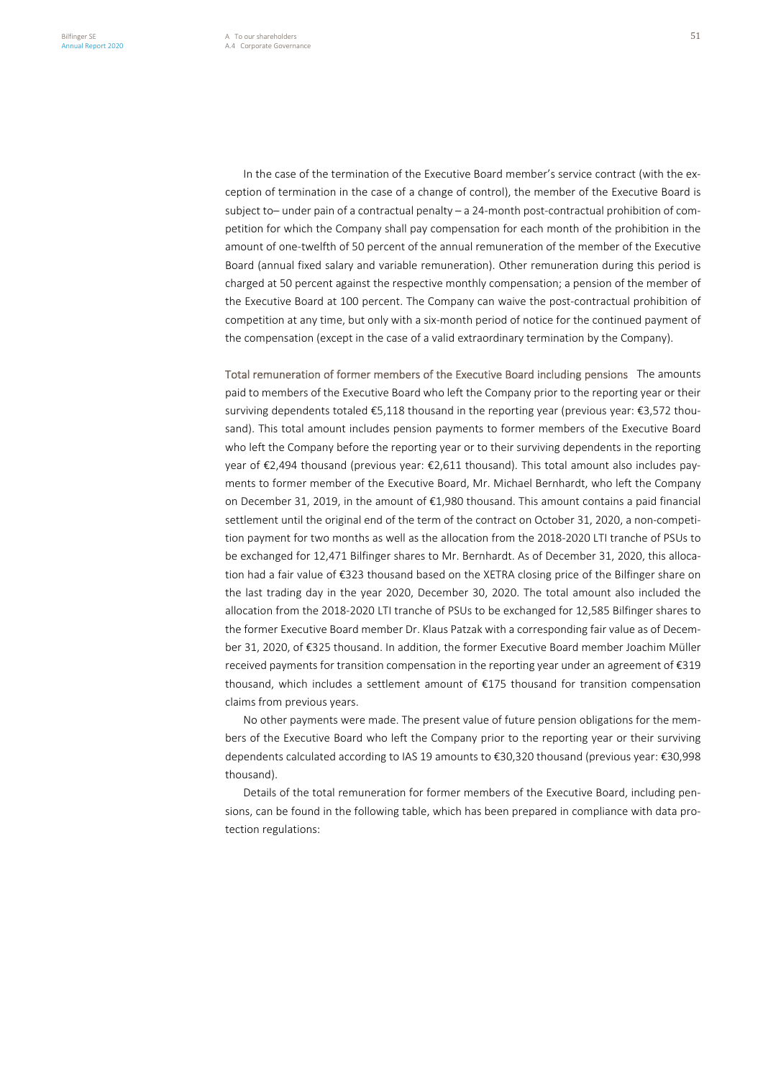In the case of the termination of the Executive Board member's service contract (with the exception of termination in the case of a change of control), the member of the Executive Board is subject to– under pain of a contractual penalty – a 24-month post-contractual prohibition of competition for which the Company shall pay compensation for each month of the prohibition in the amount of one-twelfth of 50 percent of the annual remuneration of the member of the Executive Board (annual fixed salary and variable remuneration). Other remuneration during this period is charged at 50 percent against the respective monthly compensation; a pension of the member of the Executive Board at 100 percent. The Company can waive the post-contractual prohibition of competition at any time, but only with a six-month period of notice for the continued payment of the compensation (except in the case of a valid extraordinary termination by the Company).

Total remuneration of former members of the Executive Board including pensions The amounts paid to members of the Executive Board who left the Company prior to the reporting year or their surviving dependents totaled €5,118 thousand in the reporting year (previous year: €3,572 thousand). This total amount includes pension payments to former members of the Executive Board who left the Company before the reporting year or to their surviving dependents in the reporting year of €2,494 thousand (previous year: €2,611 thousand). This total amount also includes payments to former member of the Executive Board, Mr. Michael Bernhardt, who left the Company on December 31, 2019, in the amount of €1,980 thousand. This amount contains a paid financial settlement until the original end of the term of the contract on October 31, 2020, a non-competition payment for two months as well as the allocation from the 2018-2020 LTI tranche of PSUs to be exchanged for 12,471 Bilfinger shares to Mr. Bernhardt. As of December 31, 2020, this allocation had a fair value of €323 thousand based on the XETRA closing price of the Bilfinger share on the last trading day in the year 2020, December 30, 2020. The total amount also included the allocation from the 2018-2020 LTI tranche of PSUs to be exchanged for 12,585 Bilfinger shares to the former Executive Board member Dr. Klaus Patzak with a corresponding fair value as of December 31, 2020, of €325 thousand. In addition, the former Executive Board member Joachim Müller received payments for transition compensation in the reporting year under an agreement of €319 thousand, which includes a settlement amount of €175 thousand for transition compensation claims from previous years.

No other payments were made. The present value of future pension obligations for the members of the Executive Board who left the Company prior to the reporting year or their surviving dependents calculated according to IAS 19 amounts to €30,320 thousand (previous year: €30,998 thousand).

Details of the total remuneration for former members of the Executive Board, including pensions, can be found in the following table, which has been prepared in compliance with data protection regulations: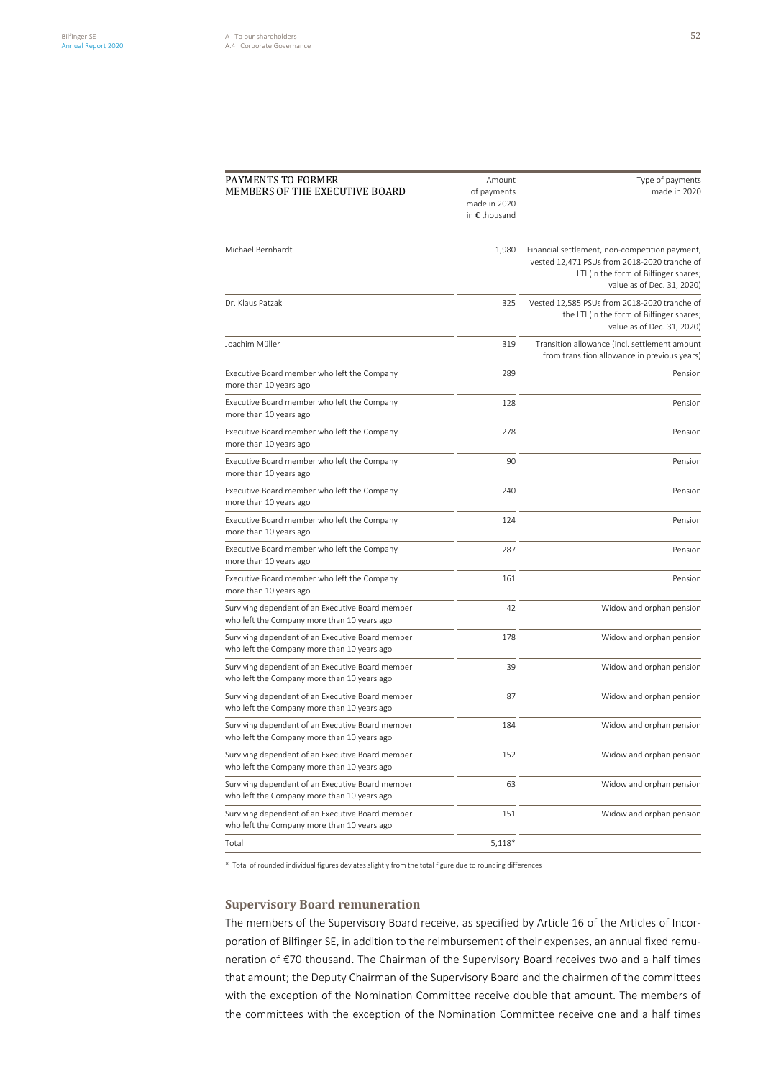| PAYMENTS TO FORMER<br>MEMBERS OF THE EXECUTIVE BOARD                                            | Amount<br>of payments<br>made in 2020<br>in € thousand | Type of payments<br>made in 2020                                                                                                                                      |
|-------------------------------------------------------------------------------------------------|--------------------------------------------------------|-----------------------------------------------------------------------------------------------------------------------------------------------------------------------|
| Michael Bernhardt                                                                               | 1,980                                                  | Financial settlement, non-competition payment,<br>vested 12,471 PSUs from 2018-2020 tranche of<br>LTI (in the form of Bilfinger shares;<br>value as of Dec. 31, 2020) |
| Dr. Klaus Patzak                                                                                | 325                                                    | Vested 12,585 PSUs from 2018-2020 tranche of<br>the LTI (in the form of Bilfinger shares;<br>value as of Dec. 31, 2020)                                               |
| Joachim Müller                                                                                  | 319                                                    | Transition allowance (incl. settlement amount<br>from transition allowance in previous years)                                                                         |
| Executive Board member who left the Company<br>more than 10 years ago                           | 289                                                    | Pension                                                                                                                                                               |
| Executive Board member who left the Company<br>more than 10 years ago                           | 128                                                    | Pension                                                                                                                                                               |
| Executive Board member who left the Company<br>more than 10 years ago                           | 278                                                    | Pension                                                                                                                                                               |
| Executive Board member who left the Company<br>more than 10 years ago                           | 90                                                     | Pension                                                                                                                                                               |
| Executive Board member who left the Company<br>more than 10 years ago                           | 240                                                    | Pension                                                                                                                                                               |
| Executive Board member who left the Company<br>more than 10 years ago                           | 124                                                    | Pension                                                                                                                                                               |
| Executive Board member who left the Company<br>more than 10 years ago                           | 287                                                    | Pension                                                                                                                                                               |
| Executive Board member who left the Company<br>more than 10 years ago                           | 161                                                    | Pension                                                                                                                                                               |
| Surviving dependent of an Executive Board member<br>who left the Company more than 10 years ago | 42                                                     | Widow and orphan pension                                                                                                                                              |
| Surviving dependent of an Executive Board member<br>who left the Company more than 10 years ago | 178                                                    | Widow and orphan pension                                                                                                                                              |
| Surviving dependent of an Executive Board member<br>who left the Company more than 10 years ago | 39                                                     | Widow and orphan pension                                                                                                                                              |
| Surviving dependent of an Executive Board member<br>who left the Company more than 10 years ago | 87                                                     | Widow and orphan pension                                                                                                                                              |
| Surviving dependent of an Executive Board member<br>who left the Company more than 10 years ago | 184                                                    | Widow and orphan pension                                                                                                                                              |
| Surviving dependent of an Executive Board member<br>who left the Company more than 10 years ago | 152                                                    | Widow and orphan pension                                                                                                                                              |
| Surviving dependent of an Executive Board member<br>who left the Company more than 10 years ago | 63                                                     | Widow and orphan pension                                                                                                                                              |
| Surviving dependent of an Executive Board member<br>who left the Company more than 10 years ago | 151                                                    | Widow and orphan pension                                                                                                                                              |
| Total                                                                                           | $5,118*$                                               |                                                                                                                                                                       |

\* Total of rounded individual figures deviates slightly from the total figure due to rounding differences

# **Supervisory Board remuneration**

The members of the Supervisory Board receive, as specified by Article 16 of the Articles of Incorporation of Bilfinger SE, in addition to the reimbursement of their expenses, an annual fixed remuneration of €70 thousand. The Chairman of the Supervisory Board receives two and a half times that amount; the Deputy Chairman of the Supervisory Board and the chairmen of the committees with the exception of the Nomination Committee receive double that amount. The members of the committees with the exception of the Nomination Committee receive one and a half times